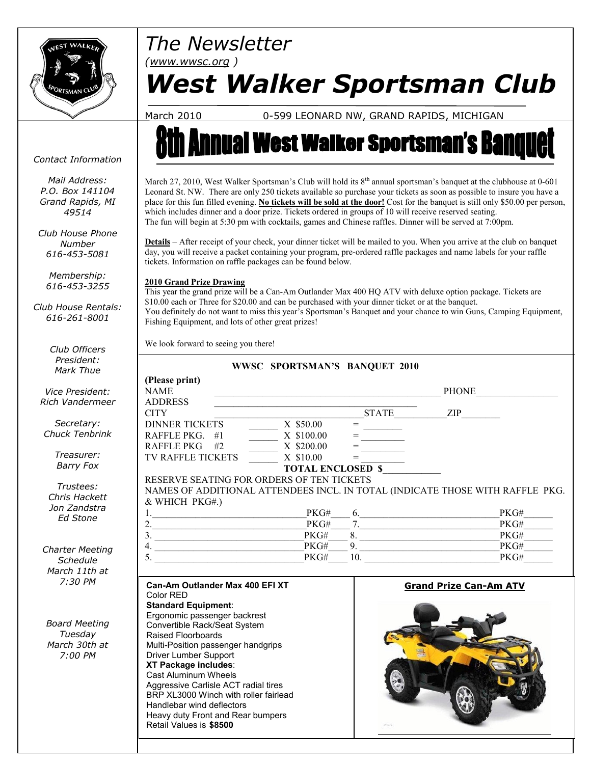

*Contact Information*

*Mail Address: P.O. Box 141104 Grand Rapids, MI 49514*

*Club House Phone Number 616-453-5081*

*Membership: 616-453-3255*

*Club House Rentals: 616-261-8001*

> *Club Officers President: Mark Thue*

## *The Newsletter*

*(www.wwsc.org )*

# *West Walker Sportsman Club*

March 2010 0-599 LEONARD NW, GRAND RAPIDS, MICHIGAN

# **nual West Walker Sportsman's Ban**

March 27, 2010, West Walker Sportsman's Club will hold its  $8<sup>th</sup>$  annual sportsman's banquet at the clubhouse at 0-601 Leonard St. NW. There are only 250 tickets available so purchase your tickets as soon as possible to insure you have a place for this fun filled evening. **No tickets will be sold at the door!** Cost for the banquet is still only \$50.00 per person, which includes dinner and a door prize. Tickets ordered in groups of 10 will receive reserved seating. The fun will begin at 5:30 pm with cocktails, games and Chinese raffles. Dinner will be served at 7:00pm.

**Details** – After receipt of your check, your dinner ticket will be mailed to you. When you arrive at the club on banquet day, you will receive a packet containing your program, pre-ordered raffle packages and name labels for your raffle tickets. Information on raffle packages can be found below.

#### **2010 Grand Prize Drawing**

This year the grand prize will be a Can-Am Outlander Max 400 HQ ATV with deluxe option package. Tickets are \$10.00 each or Three for \$20.00 and can be purchased with your dinner ticket or at the banquet. You definitely do not want to miss this year's Sportsman's Banquet and your chance to win Guns, Camping Equipment, Fishing Equipment, and lots of other great prizes!

We look forward to seeing you there!

| CIUD UIIICCI S         |                                                                                                                                                                                                                                                                                                                                                                                                 |                                          |
|------------------------|-------------------------------------------------------------------------------------------------------------------------------------------------------------------------------------------------------------------------------------------------------------------------------------------------------------------------------------------------------------------------------------------------|------------------------------------------|
| President:             | WWSC SPORTSMAN'S BANQUET 2010                                                                                                                                                                                                                                                                                                                                                                   |                                          |
| Mark Thue              |                                                                                                                                                                                                                                                                                                                                                                                                 |                                          |
| Vice President:        | (Please print)<br><b>NAME</b><br><u> 1989 - Johann Stein, marwolaethau a bhann an t-Amhain an t-Amhain an t-Amhain an t-Amhain an t-Amhain an t-A</u>                                                                                                                                                                                                                                           |                                          |
| Rich Vandermeer        | <b>ADDRESS</b><br><b>CITY</b>                                                                                                                                                                                                                                                                                                                                                                   |                                          |
| Secretary:             | <b>DINNER TICKETS</b>                                                                                                                                                                                                                                                                                                                                                                           |                                          |
| <b>Chuck Tenbrink</b>  | $\overline{X}$ \$50.00<br>$\overbrace{\hspace{25mm}}^{\hspace{25mm} =\, \, \underline{\hspace{25mm}}\hspace{25mm} \, \underline{\hspace{25mm}}\hspace{25mm}}^{\hspace{25mm} =\, \, \underline{\hspace{25mm}}\hspace{25mm} \, \underline{\hspace{25mm}}\hspace{25mm}}^{\hspace{25mm} =\, \, \underline{\hspace{25mm}}\hspace{25mm} \, \underline{\hspace{25mm}}\hspace{25mm}}$<br>RAFFLE PKG. #1 |                                          |
|                        | $\frac{X \$100.00}{X$<br>$X$ \$200.00<br>RAFFLE PKG #2                                                                                                                                                                                                                                                                                                                                          |                                          |
| Treasurer:             |                                                                                                                                                                                                                                                                                                                                                                                                 |                                          |
| <b>Barry Fox</b>       | TV RAFFLE TICKETS X \$10.00<br>$X $10.00 =$<br>TOTAL ENCLOSED \$                                                                                                                                                                                                                                                                                                                                |                                          |
|                        | RESERVE SEATING FOR ORDERS OF TEN TICKETS                                                                                                                                                                                                                                                                                                                                                       |                                          |
| Trustees:              |                                                                                                                                                                                                                                                                                                                                                                                                 |                                          |
| Chris Hackett          | NAMES OF ADDITIONAL ATTENDEES INCL. IN TOTAL (INDICATE THOSE WITH RAFFLE PKG.                                                                                                                                                                                                                                                                                                                   |                                          |
| Jon Zandstra           | & WHICH PKG#.)<br>PKG#                                                                                                                                                                                                                                                                                                                                                                          |                                          |
| <b>Ed Stone</b>        | $ \frac{6}{7}$ $ \frac{1}{2}$ $ \frac{1}{2}$ $ \frac{1}{2}$ $ \frac{1}{2}$ $ \frac{1}{2}$ $ \frac{1}{2}$ $ \frac{1}{2}$ $ \frac{1}{2}$ $ \frac{1}{2}$ $ \frac{1}{2}$ $ \frac{1}{2}$ $ \frac{1}{2}$ $ \frac{1}{2}$ $ \frac{1}{2}$ $ \frac{1}{2$                                                                                                                                                  |                                          |
|                        | $2.$ PKG#                                                                                                                                                                                                                                                                                                                                                                                       |                                          |
|                        | 8.<br>PKG#                                                                                                                                                                                                                                                                                                                                                                                      |                                          |
| <b>Charter Meeting</b> | $\begin{array}{c c c c} \text{3.5} & \text{PKG#} & \text{PKG#} \\ \hline \text{4.} & \text{PKG#} & \text{PKG#} \\ \text{5.} & \text{PKG#} & \text{PKG#} \\ \end{array}$<br>$9.$ $\overline{\phantom{0}}$<br>10.<br>PKG#                                                                                                                                                                         |                                          |
| Schedule               |                                                                                                                                                                                                                                                                                                                                                                                                 |                                          |
| March 11th at          |                                                                                                                                                                                                                                                                                                                                                                                                 |                                          |
| $7:30$ PM              | Can-Am Outlander Max 400 EFI XT<br><b>Grand Prize Can-Am ATV</b>                                                                                                                                                                                                                                                                                                                                |                                          |
|                        | Color RED                                                                                                                                                                                                                                                                                                                                                                                       |                                          |
|                        | <b>Standard Equipment:</b>                                                                                                                                                                                                                                                                                                                                                                      |                                          |
| <b>Board Meeting</b>   | Ergonomic passenger backrest<br>Convertible Rack/Seat System                                                                                                                                                                                                                                                                                                                                    |                                          |
| Tuesday                | <b>Raised Floorboards</b>                                                                                                                                                                                                                                                                                                                                                                       |                                          |
| March 30th at          | Multi-Position passenger handgrips                                                                                                                                                                                                                                                                                                                                                              |                                          |
| 7:00 PM                | Driver Lumber Support                                                                                                                                                                                                                                                                                                                                                                           |                                          |
|                        | XT Package includes:                                                                                                                                                                                                                                                                                                                                                                            |                                          |
|                        | <b>Cast Aluminum Wheels</b>                                                                                                                                                                                                                                                                                                                                                                     |                                          |
|                        | Aggressive Carlisle ACT radial tires                                                                                                                                                                                                                                                                                                                                                            |                                          |
|                        | BRP XL3000 Winch with roller fairlead                                                                                                                                                                                                                                                                                                                                                           | PKG#<br>$\overline{\text{PKG#}}$<br>PKG# |
|                        | Handlebar wind deflectors                                                                                                                                                                                                                                                                                                                                                                       |                                          |
|                        | Heavy duty Front and Rear bumpers<br>Retail Values is \$8500                                                                                                                                                                                                                                                                                                                                    |                                          |
|                        |                                                                                                                                                                                                                                                                                                                                                                                                 |                                          |
|                        |                                                                                                                                                                                                                                                                                                                                                                                                 |                                          |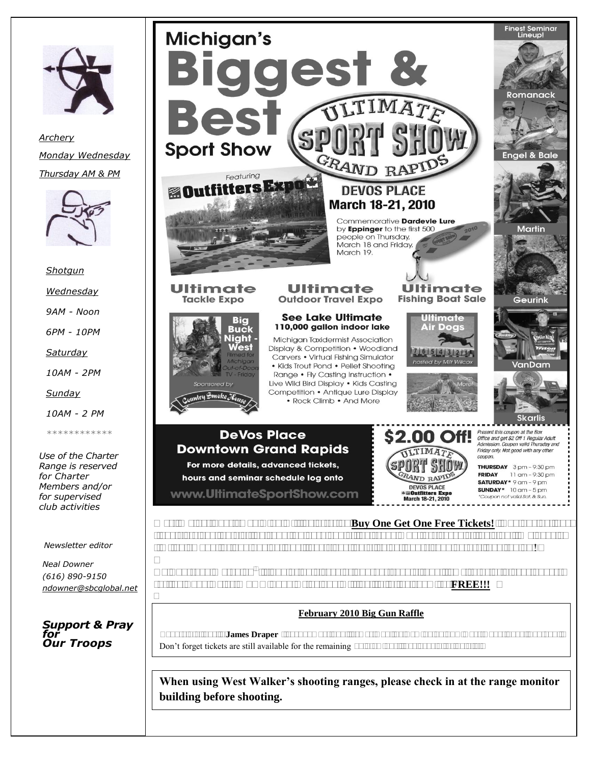

*Archery Monday Wednesday Thursday AM & PM*



*Shotgun* 

*Wednesday*

*9AM - Noon*

*6PM - 10PM*

*Saturday*

*10AM - 2PM*

*Sunday*

*10AM - 2 PM*

*\*\*\*\*\*\*\*\*\*\*\*\**

*Use of the Charter Range is reserved for Charter Members and/or for supervised club activities*

*Newsletter editor*

*Neal Downer (616) 890-9150 ndowner@sbcglobal.net*

*Support & Pray for Our Troops*

l



#### **February 2010 Big Gun Raffle**

 Congratulations to **James Draper** ticket number 207. James won the Remington SPR Over/Under 20ga. Shotgun. Don't forget tickets are still available for the remaining 10 drawings. See page 4 for details.

**When using West Walker's shooting ranges, please check in at the range monitor building before shooting.**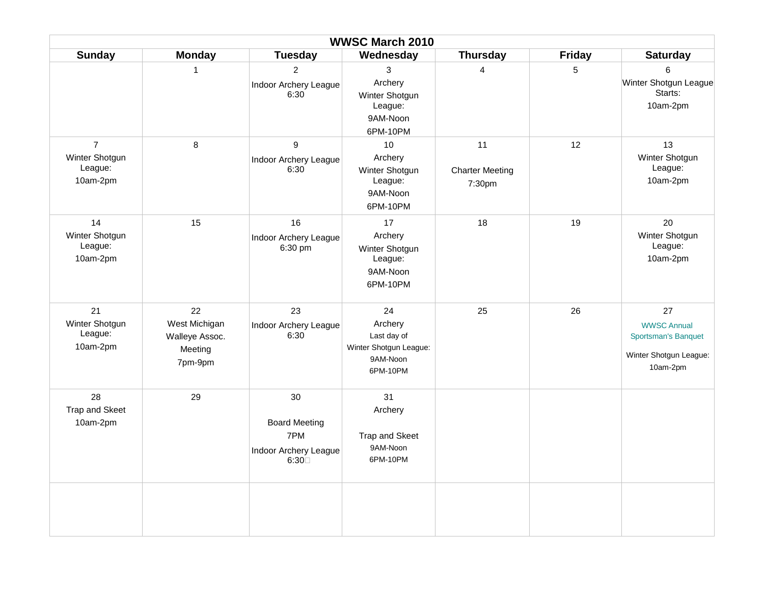|                                                         | <b>WWSC March 2010</b>                                      |                                                                    |                                                                                |                                        |               |                                                                                       |
|---------------------------------------------------------|-------------------------------------------------------------|--------------------------------------------------------------------|--------------------------------------------------------------------------------|----------------------------------------|---------------|---------------------------------------------------------------------------------------|
| <b>Sunday</b>                                           | <b>Monday</b>                                               | <b>Tuesday</b>                                                     | Wednesday                                                                      | <b>Thursday</b>                        | <b>Friday</b> | <b>Saturday</b>                                                                       |
|                                                         | $\mathbf{1}$                                                | $\overline{2}$<br>Indoor Archery League<br>6:30                    | 3<br>Archery<br>Winter Shotgun<br>League:<br>9AM-Noon<br>6PM-10PM              | $\overline{4}$                         | 5             | 6<br>Winter Shotgun League<br>Starts:<br>10am-2pm                                     |
| $\overline{7}$<br>Winter Shotgun<br>League:<br>10am-2pm | 8                                                           | 9<br>Indoor Archery League<br>6:30                                 | 10<br>Archery<br>Winter Shotgun<br>League:<br>9AM-Noon<br>6PM-10PM             | 11<br><b>Charter Meeting</b><br>7:30pm | 12            | 13<br>Winter Shotgun<br>League:<br>10am-2pm                                           |
| 14<br>Winter Shotgun<br>League:<br>10am-2pm             | 15                                                          | 16<br>Indoor Archery League<br>6:30 pm                             | 17<br>Archery<br>Winter Shotgun<br>League:<br>9AM-Noon<br>6PM-10PM             | 18                                     | 19            | 20<br>Winter Shotgun<br>League:<br>10am-2pm                                           |
| 21<br>Winter Shotgun<br>League:<br>10am-2pm             | 22<br>West Michigan<br>Walleye Assoc.<br>Meeting<br>7pm-9pm | 23<br>Indoor Archery League<br>6:30                                | 24<br>Archery<br>Last day of<br>Winter Shotgun League:<br>9AM-Noon<br>6PM-10PM | 25                                     | 26            | 27<br><b>WWSC Annual</b><br>Sportsman's Banquet<br>Winter Shotgun League:<br>10am-2pm |
| 28<br>Trap and Skeet<br>10am-2pm                        | 29                                                          | 30<br><b>Board Meeting</b><br>7PM<br>Indoor Archery League<br>6:30 | 31<br>Archery<br>Trap and Skeet<br>9AM-Noon<br>6PM-10PM                        |                                        |               |                                                                                       |
|                                                         |                                                             |                                                                    |                                                                                |                                        |               |                                                                                       |